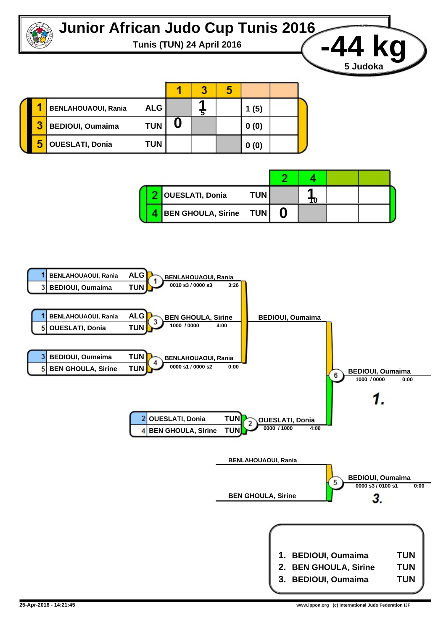



|  | <b>BENLAHOUAOUI, Rania</b> | <b>ALG</b> |  | (5)  |  |
|--|----------------------------|------------|--|------|--|
|  | <b>BEDIOUI, Oumaima</b>    | <b>TUN</b> |  | 0(0) |  |
|  | <b>OUESLATI, Donia</b>     | <b>TUN</b> |  | 0(0) |  |

|  | <b>OUESLATI, Donia</b> | <b>TUN</b> | 10 |  |  |
|--|------------------------|------------|----|--|--|
|  | BEN GHOULA, Sirine TUN |            |    |  |  |

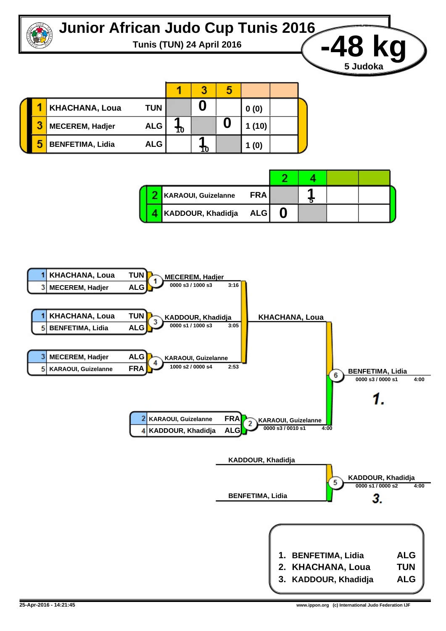

**Tunis (TUN) 24 April 2016 -48 kg**

1 3 5 **0 KHACHANA, Loua TUN 0 (0) 1 0 10** 3 **MECEREM, Hadjer ALG 1 (10) 1 10** 5 **BENFETIMA, Lidia ALG 1 (0)**

|  | KARAOUI, Guizelanne   | <b>FRA</b> |  |  |
|--|-----------------------|------------|--|--|
|  | KADDOUR, Khadidja ALG |            |  |  |



**5 Judoka**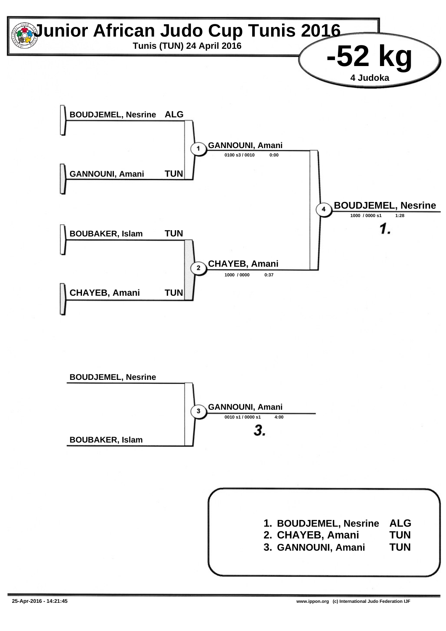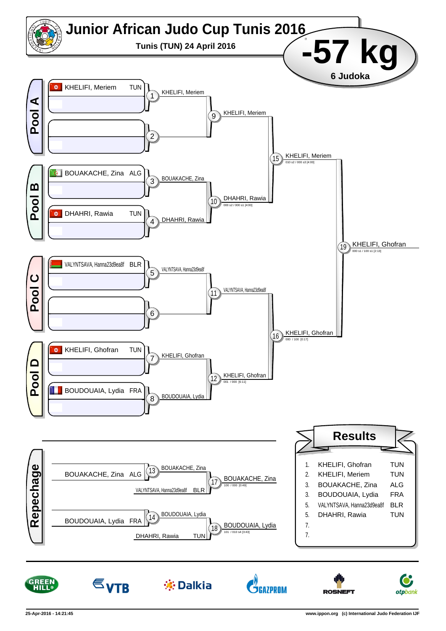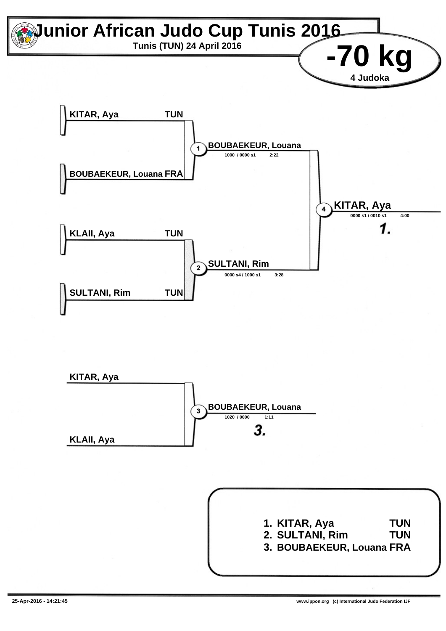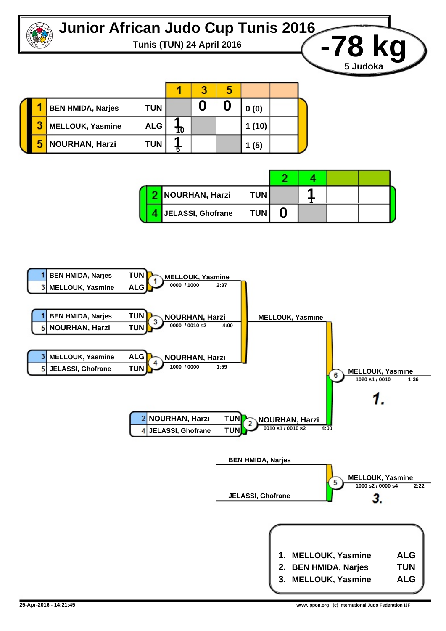

**Tunis (TUN) 24 April 2016 -78 kg**



|  | NOURHAN, Harzi    | <b>TUN</b> |  |  |  |
|--|-------------------|------------|--|--|--|
|  | JELASSI, Ghofrane | <b>TUN</b> |  |  |  |



**5 Judoka**